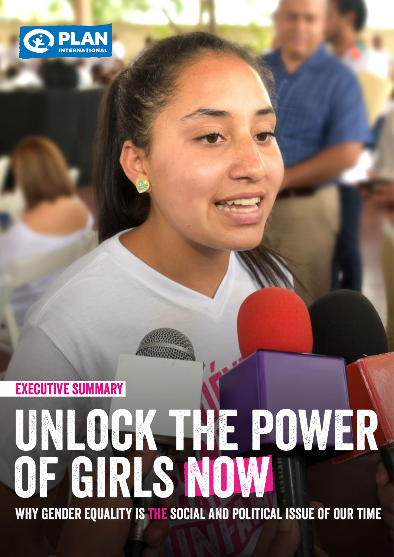

# Unlock the power of girls now why gender equality is the social and political issue of our time executive summary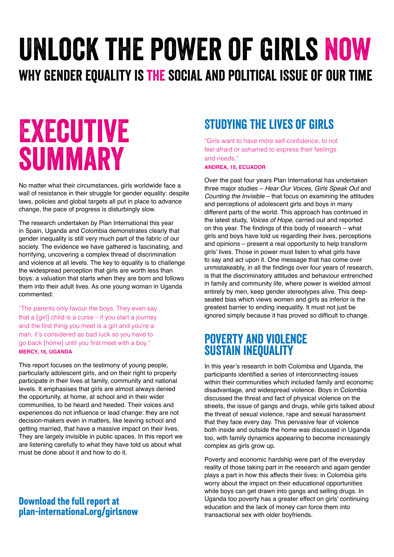## Unlock the power of girls now why gender equality is the social and political issue of our time

## Executive summary

No matter what their circumstances, girls worldwide face a wall of resistance in their struggle for gender equality: despite laws, policies and global targets all put in place to advance change, the pace of progress is disturbingly slow.

The research undertaken by Plan International this year in Spain, Uganda and Colombia demonstrates clearly that gender inequality is still very much part of the fabric of our society. The evidence we have gathered is fascinating, and horrifying, uncovering a complex thread of discrimination and violence at all levels. The key to equality is to challenge the widespread perception that girls are worth less than boys: a valuation that starts when they are born and follows them into their adult lives. As one young woman in Uganda commented:

"The parents only favour the boys. They even say that a [girl] child is a curse – if you start a journey and the first thing you meet is a girl and you're a man, it's considered as bad luck so you have to go back [home] until you first meet with a boy." **MERCY, 16, UGANDA**

This report focuses on the testimony of young people, particularly adolescent girls, and on their right to properly participate in their lives at family, community and national levels. It emphasises that girls are almost always denied the opportunity, at home, at school and in their wider communities, to be heard and heeded. Their voices and experiences do not influence or lead change: they are not decision-makers even in matters, like leaving school and getting married, that have a massive impact on their lives. They are largely invisible in public spaces. In this report we are listening carefully to what they have told us about what must be done about it and how to do it.

#### Download the full report at [plan-international.org/girlsnow](https://plan-international.org/girlsnow)

## Studying the lives of girls

"Girls want to have more self-confidence, to not feel afraid or ashamed to express their feelings and needs."

**ANDREA, 15, ECUADOR** 

Over the past four years Plan International has undertaken three major studies – *Hear Our Voices*, *Girls Speak Out* and *Counting the Invisible* – that focus on examining the attitudes and perceptions of adolescent girls and boys in many different parts of the world. This approach has continued in the latest study, *Voices of Hope*, carried out and reported on this year. The findings of this body of research – what girls and boys have told us regarding their lives, perceptions and opinions – present a real opportunity to help transform girls' lives. Those in power must listen to what girls have to say and act upon it. One message that has come over unmistakeably, in all the findings over four years of research, is that the discriminatory attitudes and behaviour entrenched in family and community life, where power is wielded almost entirely by men, keep gender stereotypes alive. This deepseated bias which views women and girls as inferior is the greatest barrier to ending inequality. It must not just be ignored simply because it has proved so difficult to change.

## Poverty and violence **SUSTAIN INEQUALITY**

In this year's research in both Colombia and Uganda, the participants identified a series of interconnecting issues within their communities which included family and economic disadvantage, and widespread violence. Boys in Colombia discussed the threat and fact of physical violence on the streets, the issue of gangs and drugs, while girls talked about the threat of sexual violence, rape and sexual harassment that they face every day. This pervasive fear of violence both inside and outside the home was discussed in Uganda too, with family dynamics appearing to become increasingly complex as girls grow up.

Poverty and economic hardship were part of the everyday reality of those taking part in the research and again gender plays a part in how this affects their lives: in Colombia girls worry about the impact on their educational opportunities while boys can get drawn into gangs and selling drugs. In Uganda too poverty has a greater effect on girls' continuing education and the lack of money can force them into transactional sex with older boyfriends.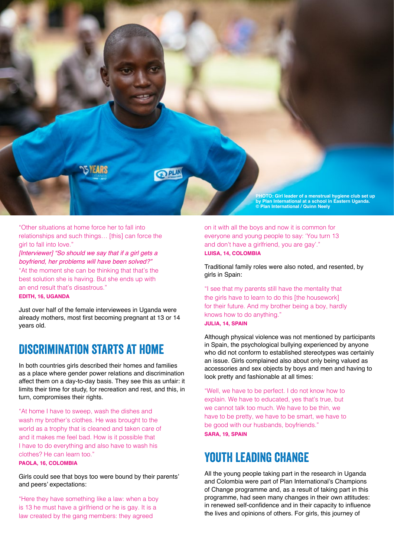

"Other situations at home force her to fall into relationships and such things… [this] can force the girl to fall into love."

*[Interviewer] "So should we say that if a girl gets a boyfriend, her problems will have been solved?"* 

"At the moment she can be thinking that that's the best solution she is having. But she ends up with an end result that's disastrous."

#### **EDITH, 16, UGANDA**

Just over half of the female interviewees in Uganda were already mothers, most first becoming pregnant at 13 or 14 years old.

### Discrimination starts at home

In both countries girls described their homes and families as a place where gender power relations and discrimination affect them on a day-to-day basis. They see this as unfair: it limits their time for study, for recreation and rest, and this, in turn, compromises their rights.

"At home I have to sweep, wash the dishes and wash my brother's clothes. He was brought to the world as a trophy that is cleaned and taken care of and it makes me feel bad. How is it possible that I have to do everything and also have to wash his clothes? He can learn too."

#### **PAOLA, 16, COLOMBIA**

Girls could see that boys too were bound by their parents' and peers' expectations:

"Here they have something like a law: when a boy is 13 he must have a girlfriend or he is gay. It is a law created by the gang members: they agreed

on it with all the boys and now it is common for everyone and young people to say: 'You turn 13 and don't have a girlfriend, you are gay'." **LUISA, 14, COLOMBIA**

Traditional family roles were also noted, and resented, by girls in Spain:

"I see that my parents still have the mentality that the girls have to learn to do this [the housework] for their future. And my brother being a boy, hardly knows how to do anything." **JULIA, 14, SPAIN** 

Although physical violence was not mentioned by participants in Spain, the psychological bullying experienced by anyone who did not conform to established stereotypes was certainly an issue. Girls complained also about only being valued as accessories and sex objects by boys and men and having to look pretty and fashionable at all times:

"Well, we have to be perfect. I do not know how to explain. We have to educated, yes that's true, but we cannot talk too much. We have to be thin, we have to be pretty, we have to be smart, we have to be good with our husbands, boyfriends." **SARA, 19, SPAIN**

## YOUTH LEADING CHANGE

All the young people taking part in the research in Uganda and Colombia were part of Plan International's Champions of Change programme and, as a result of taking part in this programme, had seen many changes in their own attitudes: in renewed self-confidence and in their capacity to influence the lives and opinions of others. For girls, this journey of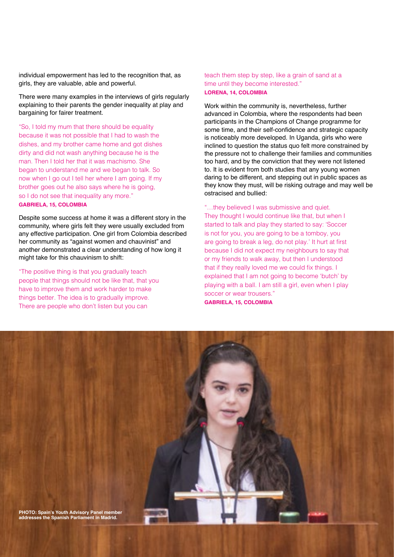individual empowerment has led to the recognition that, as girls, they are valuable, able and powerful.

There were many examples in the interviews of girls regularly explaining to their parents the gender inequality at play and bargaining for fairer treatment.

"So, I told my mum that there should be equality because it was not possible that I had to wash the dishes, and my brother came home and got dishes dirty and did not wash anything because he is the man. Then I told her that it was machismo. She began to understand me and we began to talk. So now when I go out I tell her where I am going. If my brother goes out he also says where he is going, so I do not see that inequality any more." **GABRIELA, 15, COLOMBIA**

Despite some success at home it was a different story in the community, where girls felt they were usually excluded from any effective participation. One girl from Colombia described her community as "against women and chauvinist" and another demonstrated a clear understanding of how long it might take for this chauvinism to shift:

"The positive thing is that you gradually teach people that things should not be like that, that you have to improve them and work harder to make things better. The idea is to gradually improve. There are people who don't listen but you can

teach them step by step, like a grain of sand at a time until they become interested." **LORENA, 14, COLOMBIA**

Work within the community is, nevertheless, further advanced in Colombia, where the respondents had been participants in the Champions of Change programme for some time, and their self-confidence and strategic capacity is noticeably more developed. In Uganda, girls who were inclined to question the status quo felt more constrained by the pressure not to challenge their families and communities too hard, and by the conviction that they were not listened to. It is evident from both studies that any young women daring to be different, and stepping out in public spaces as they know they must, will be risking outrage and may well be ostracised and bullied:

"…they believed I was submissive and quiet. They thought I would continue like that, but when I started to talk and play they started to say: 'Soccer is not for you, you are going to be a tomboy, you are going to break a leg, do not play.' It hurt at first because I did not expect my neighbours to say that or my friends to walk away, but then I understood that if they really loved me we could fix things. I explained that I am not going to become 'butch' by playing with a ball. I am still a girl, even when I play soccer or wear trousers." **GABRIELA, 15, COLOMBIA**

**PHOTO: Spain's Youth Advisory Panel member addresses the Spanish Parliament in Madrid.**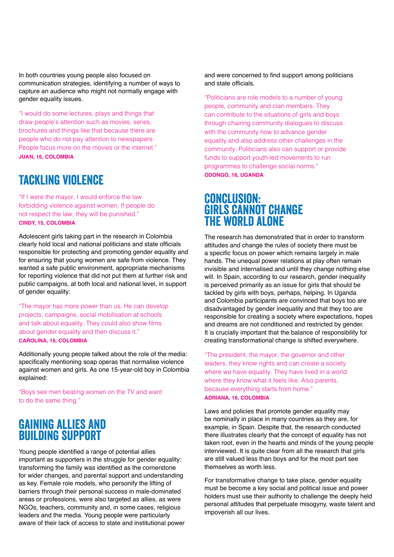In both countries young people also focused on communication strategies, identifying a number of ways to capture an audience who might not normally engage with gender equality issues.

"I would do some lectures, plays and things that draw people's attention such as movies, series, brochures and things like that because there are people who do not pay attention to newspapers. People focus more on the movies or the internet." **JUAN, 16, COLOMBIA**

## Tackling violence

"If I were the mayor, I would enforce the law forbidding violence against women. If people do not respect the law, they will be punished." **CINDY, 15, COLOMBIA**

Adolescent girls taking part in the research in Colombia clearly hold local and national politicians and state officials responsible for protecting and promoting gender equality and for ensuring that young women are safe from violence. They wanted a safe public environment, appropriate mechanisms for reporting violence that did not put them at further risk and public campaigns, at both local and national level, in support of gender equality:

"The mayor has more power than us. He can develop projects, campaigns, social mobilisation at schools and talk about equality. They could also show films about gender equality and then discuss it." **CAROLINA, 16, COLOMBIA**

Additionally young people talked about the role of the media: specifically mentioning soap operas that normalise violence against women and girls. As one 15-year-old boy in Colombia explained:

"Boys see men beating women on the TV and want to do the same thing."

### Gaining allies and **BUILDING SUPPORT**

Young people identified a range of potential allies important as supporters in the struggle for gender equality: transforming the family was identified as the cornerstone for wider changes, and parental support and understanding as key. Female role models, who personify the lifting of barriers through their personal success in male-dominated areas or professions, were also targeted as allies, as were NGOs, teachers, community and, in some cases, religious leaders and the media. Young people were particularly aware of their lack of access to state and institutional power and were concerned to find support among politicians and state officials.

"Politicians are role models to a number of young people, community and clan members. They can contribute to the situations of girls and boys through chairing community dialogues to discuss with the community how to advance gender equality and also address other challenges in the community. Politicians also can support or provide funds to support youth-led movements to run programmes to challenge social norms." **ODONGO, 16, UGANDA**

#### Conclusion: girls cannot change the world alone

The research has demonstrated that in order to transform attitudes and change the rules of society there must be a specific focus on power which remains largely in male hands. The unequal power relations at play often remain invisible and internalised and until they change nothing else will. In Spain, according to our research, gender inequality is perceived primarily as an issue for girls that should be tackled by girls with boys, perhaps, helping. In Uganda and Colombia participants are convinced that boys too are disadvantaged by gender inequality and that they too are responsible for creating a society where expectations, hopes and dreams are not conditioned and restricted by gender. It is crucially important that the balance of responsibility for creating transformational change is shifted everywhere.

"The president, the mayor, the governor and other leaders, they know rights and can create a society where we have equality. They have lived in a world where they know what it feels like. Also parents, because everything starts from home." **ADRIANA, 16, COLOMBIA**

Laws and policies that promote gender equality may be nominally in place in many countries as they are, for example, in Spain. Despite that, the research conducted there illustrates clearly that the concept of equality has not taken root, even in the hearts and minds of the young people interviewed. It is quite clear from all the research that girls are still valued less than boys and for the most part see themselves as worth less.

For transformative change to take place, gender equality must be become a key social and political issue and power holders must use their authority to challenge the deeply held personal attitudes that perpetuate misogyny, waste talent and impoverish all our lives.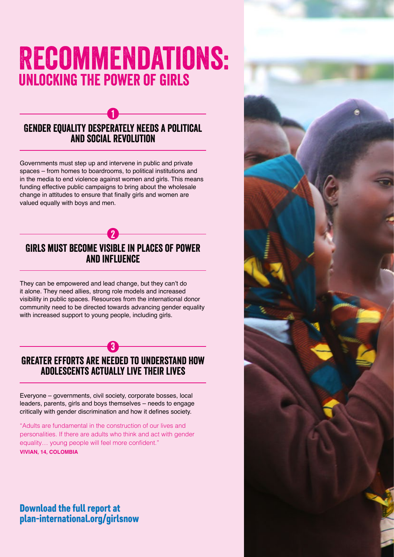## Recommendations: unlocking the power of girls

#### 1 Gender equality desperately needs a political and social revolution

Governments must step up and intervene in public and private spaces – from homes to boardrooms, to political institutions and in the media to end violence against women and girls. This means funding effective public campaigns to bring about the wholesale change in attitudes to ensure that finally girls and women are valued equally with boys and men.

#### 2 Girls must become visible in places of power and influence

They can be empowered and lead change, but they can't do it alone. They need allies, strong role models and increased visibility in public spaces. Resources from the international donor community need to be directed towards advancing gender equality with increased support to young people, including girls.

#### 3 Greater efforts are needed to understand how adolescents actually live their lives

Everyone – governments, civil society, corporate bosses, local leaders, parents, girls and boys themselves – needs to engage critically with gender discrimination and how it defines society.

"Adults are fundamental in the construction of our lives and personalities. If there are adults who think and act with gender equality… young people will feel more confident." **VIVIAN, 14, COLOMBIA**

#### Download the full report at [plan-international.org/girlsnow](https://plan-international.org/girlsnow)

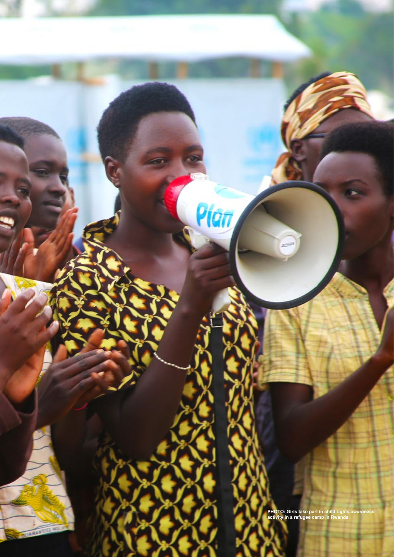**PHOTO: Girls take part in child rights awareness activity in a refugee camp in Rwanda.**

Pian

**LARAN** 

**P**